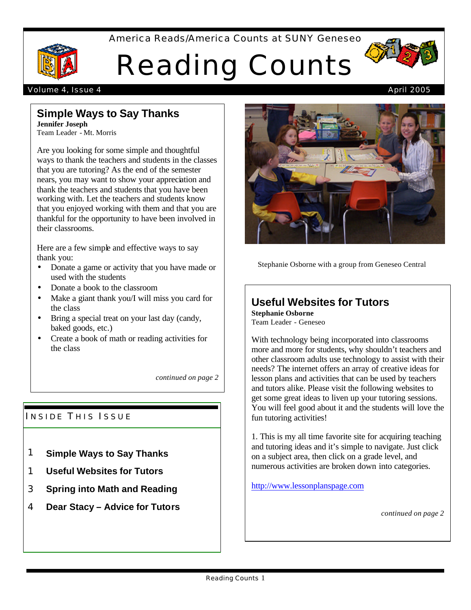America Reads/America Counts at SUNY Geneseo



# Reading Counts



# **Simple Ways to Say Thanks**

**Jennifer Joseph** Team Leader - Mt. Morris

Are you looking for some simple and thoughtful ways to thank the teachers and students in the classes that you are tutoring? As the end of the semester nears, you may want to show your appreciation and thank the teachers and students that you have been working with. Let the teachers and students know that you enjoyed working with them and that you are thankful for the opportunity to have been involved in their classrooms.

Here are a few simple and effective ways to say thank you:

- Donate a game or activity that you have made or used with the students
- Donate a book to the classroom
- Make a giant thank you/I will miss you card for the class
- Bring a special treat on your last day (candy, baked goods, etc.)
- Create a book of math or reading activities for the class

*continued on page 2*

## INSIDE THIS ISSUE

- 1 **Simple Ways to Say Thanks**
- 1 **Useful Websites for Tutors**
- 3 **Spring into Math and Reading**
- 4 **Dear Stacy Advice for Tutors**





Stephanie Osborne with a group from Geneseo Central

# **Useful Websites for Tutors**

**Stephanie Osborne** Team Leader - Geneseo

With technology being incorporated into classrooms more and more for students, why shouldn't teachers and other classroom adults use technology to assist with their needs? The internet offers an array of creative ideas for lesson plans and activities that can be used by teachers and tutors alike. Please visit the following websites to get some great ideas to liven up your tutoring sessions. You will feel good about it and the students will love the fun tutoring activities!

1. This is my all time favorite site for acquiring teaching and tutoring ideas and it's simple to navigate. Just click on a subject area, then click on a grade level, and numerous activities are broken down into categories.

http://www.lessonplanspage.com

*continued on page 2*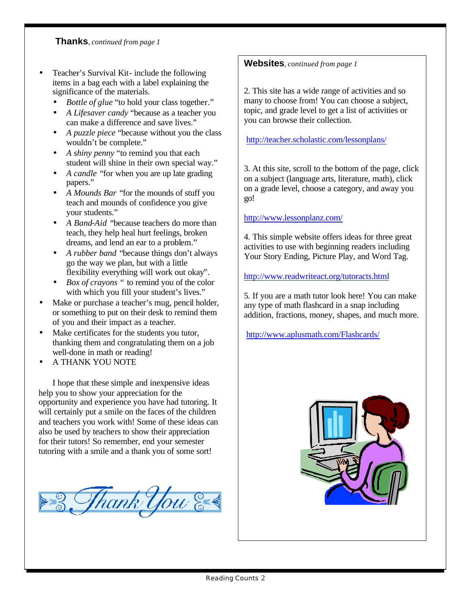**Thanks**, *continued from page 1*

- Teacher's Survival Kit- include the following items in a bag each with a label explaining the significance of the materials.
	- *Bottle of glue* "to hold your class together."
	- *A Lifesaver candy* "because as a teacher you can make a difference and save lives."
	- *A puzzle piece* "because without you the class wouldn't be complete."
	- *A shiny penny* "to remind you that each student will shine in their own special way."
	- *A candle "*for when you are up late grading papers."
	- *A Mounds Bar "*for the mounds of stuff you teach and mounds of confidence you give your students."
	- *A Band-Aid "*because teachers do more than teach, they help heal hurt feelings, broken dreams, and lend an ear to a problem."
	- *A rubber band "*because things don't always go the way we plan, but with a little flexibility everything will work out okay".
	- *Box of crayons "* to remind you of the color with which you fill your student's lives."
- Make or purchase a teacher's mug, pencil holder, or something to put on their desk to remind them of you and their impact as a teacher.
- Make certificates for the students you tutor, thanking them and congratulating them on a job well-done in math or reading!
- A THANK YOU NOTE

I hope that these simple and inexpensive ideas help you to show your appreciation for the opportunity and experience you have had tutoring. It will certainly put a smile on the faces of the children and teachers you work with! Some of these ideas can also be used by teachers to show their appreciation for their tutors! So remember, end your semester tutoring with a smile and a thank you of some sort!



### **Websites**, *continued from page 1*

2. This site has a wide range of activities and so many to choose from! You can choose a subject, topic, and grade level to get a list of activities or you can browse their collection.

http://teacher.scholastic.com/lessonplans/

3. At this site, scroll to the bottom of the page, click on a subject (language arts, literature, math), click on a grade level, choose a category, and away you go!

#### http://www.lessonplanz.com/

4. This simple website offers ideas for three great activities to use with beginning readers including Your Story Ending, Picture Play, and Word Tag.

http://www.readwriteact.org/tutoracts.html

5. If you are a math tutor look here! You can make any type of math flashcard in a snap including addition, fractions, money, shapes, and much more.

http://www.aplusmath.com/Flashcards/

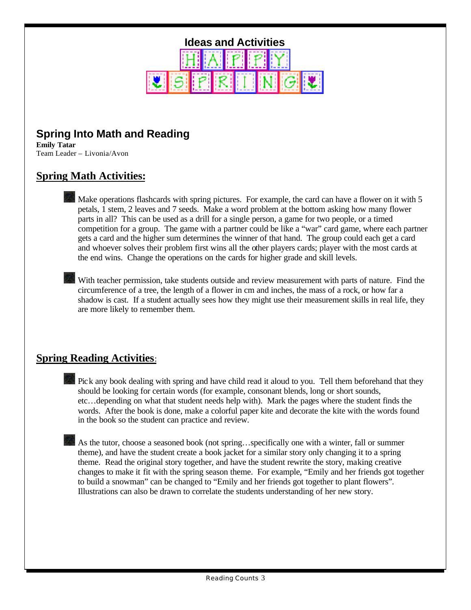

# **Spring Into Math and Reading**

**Emily Tatar** Team Leader – Livonia/Avon

## **Spring Math Activities:**

Make operations flashcards with spring pictures. For example, the card can have a flower on it with 5 petals, 1 stem, 2 leaves and 7 seeds. Make a word problem at the bottom asking how many flower parts in all? This can be used as a drill for a single person, a game for two people, or a timed competition for a group. The game with a partner could be like a "war" card game, where each partner gets a card and the higher sum determines the winner of that hand. The group could each get a card and whoever solves their problem first wins all the other players cards; player with the most cards at the end wins. Change the operations on the cards for higher grade and skill levels.

With teacher permission, take students outside and review measurement with parts of nature. Find the circumference of a tree, the length of a flower in cm and inches, the mass of a rock, or how far a shadow is cast. If a student actually sees how they might use their measurement skills in real life, they are more likely to remember them.

## **Spring Reading Activities**:

Pick any book dealing with spring and have child read it aloud to you. Tell them beforehand that they should be looking for certain words (for example, consonant blends, long or short sounds, etc…depending on what that student needs help with). Mark the pages where the student finds the words. After the book is done, make a colorful paper kite and decorate the kite with the words found in the book so the student can practice and review.

As the tutor, choose a seasoned book (not spring...specifically one with a winter, fall or summer theme), and have the student create a book jacket for a similar story only changing it to a spring theme. Read the original story together, and have the student rewrite the story, making creative changes to make it fit with the spring season theme. For example, "Emily and her friends got together to build a snowman" can be changed to "Emily and her friends got together to plant flowers". Illustrations can also be drawn to correlate the students understanding of her new story.